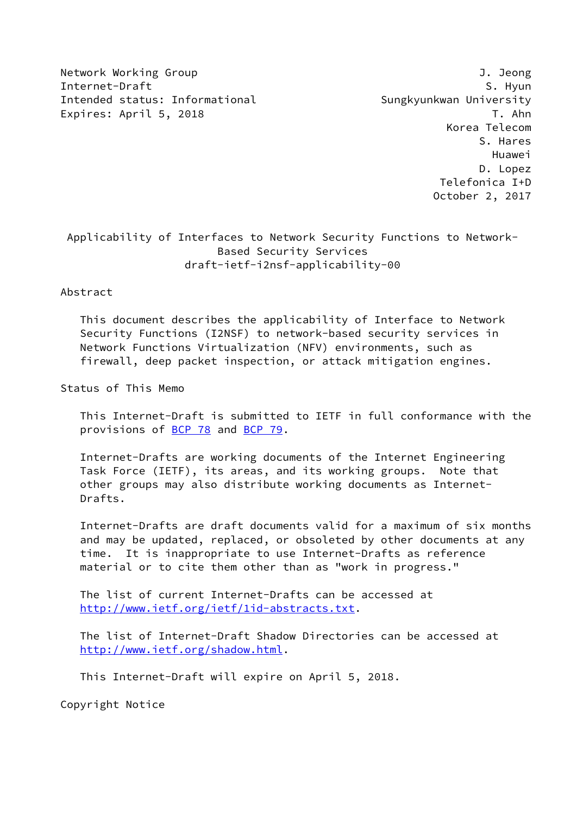Network Working Group J. Jeong Internet-Draft S. Hyun Intended status: Informational Sungkyunkwan University Expires: April 5, 2018 T. Ahn

 Korea Telecom S. Hares Huawei D. Lopez Telefonica I+D October 2, 2017

## Applicability of Interfaces to Network Security Functions to Network- Based Security Services draft-ietf-i2nsf-applicability-00

### Abstract

 This document describes the applicability of Interface to Network Security Functions (I2NSF) to network-based security services in Network Functions Virtualization (NFV) environments, such as firewall, deep packet inspection, or attack mitigation engines.

Status of This Memo

 This Internet-Draft is submitted to IETF in full conformance with the provisions of [BCP 78](https://datatracker.ietf.org/doc/pdf/bcp78) and [BCP 79](https://datatracker.ietf.org/doc/pdf/bcp79).

 Internet-Drafts are working documents of the Internet Engineering Task Force (IETF), its areas, and its working groups. Note that other groups may also distribute working documents as Internet- Drafts.

 Internet-Drafts are draft documents valid for a maximum of six months and may be updated, replaced, or obsoleted by other documents at any time. It is inappropriate to use Internet-Drafts as reference material or to cite them other than as "work in progress."

 The list of current Internet-Drafts can be accessed at <http://www.ietf.org/ietf/1id-abstracts.txt>.

 The list of Internet-Draft Shadow Directories can be accessed at <http://www.ietf.org/shadow.html>.

This Internet-Draft will expire on April 5, 2018.

Copyright Notice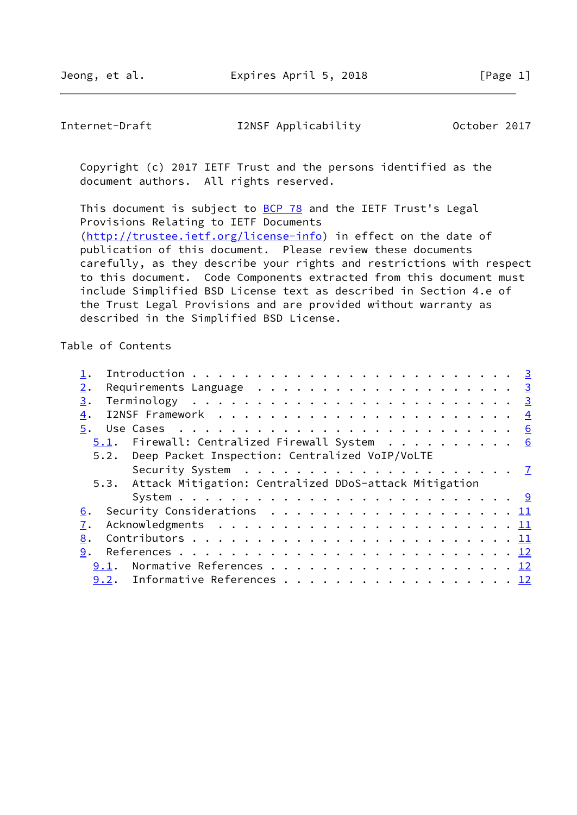Internet-Draft I2NSF Applicability October 2017

 Copyright (c) 2017 IETF Trust and the persons identified as the document authors. All rights reserved.

This document is subject to **[BCP 78](https://datatracker.ietf.org/doc/pdf/bcp78)** and the IETF Trust's Legal Provisions Relating to IETF Documents [\(http://trustee.ietf.org/license-info](http://trustee.ietf.org/license-info)) in effect on the date of publication of this document. Please review these documents carefully, as they describe your rights and restrictions with respect to this document. Code Components extracted from this document must include Simplified BSD License text as described in Section 4.e of the Trust Legal Provisions and are provided without warranty as described in the Simplified BSD License.

Table of Contents

| 2.                                                         |                                                                                                               |  |  |  |  |  |  |  |  |  |  |  |
|------------------------------------------------------------|---------------------------------------------------------------------------------------------------------------|--|--|--|--|--|--|--|--|--|--|--|
| 3.                                                         |                                                                                                               |  |  |  |  |  |  |  |  |  |  |  |
| $\overline{4}$ .                                           |                                                                                                               |  |  |  |  |  |  |  |  |  |  |  |
|                                                            |                                                                                                               |  |  |  |  |  |  |  |  |  |  |  |
| 5.1. Firewall: Centralized Firewall System 6               |                                                                                                               |  |  |  |  |  |  |  |  |  |  |  |
| 5.2. Deep Packet Inspection: Centralized VoIP/VoLTE        |                                                                                                               |  |  |  |  |  |  |  |  |  |  |  |
|                                                            | Security System $\dots \dots \dots \dots \dots \dots \dots \dots \dots$                                       |  |  |  |  |  |  |  |  |  |  |  |
| 5.3. Attack Mitigation: Centralized DDoS-attack Mitigation |                                                                                                               |  |  |  |  |  |  |  |  |  |  |  |
|                                                            |                                                                                                               |  |  |  |  |  |  |  |  |  |  |  |
| 6.                                                         | Security Considerations $\dots \dots \dots \dots \dots \dots \dots \dots \dots \dots \dots \dots \dots \dots$ |  |  |  |  |  |  |  |  |  |  |  |
| 7.                                                         |                                                                                                               |  |  |  |  |  |  |  |  |  |  |  |
| 8.                                                         |                                                                                                               |  |  |  |  |  |  |  |  |  |  |  |
| 9.                                                         |                                                                                                               |  |  |  |  |  |  |  |  |  |  |  |
| 9.1. Normative References 12                               |                                                                                                               |  |  |  |  |  |  |  |  |  |  |  |
| 9.2. Informative References 12                             |                                                                                                               |  |  |  |  |  |  |  |  |  |  |  |
|                                                            |                                                                                                               |  |  |  |  |  |  |  |  |  |  |  |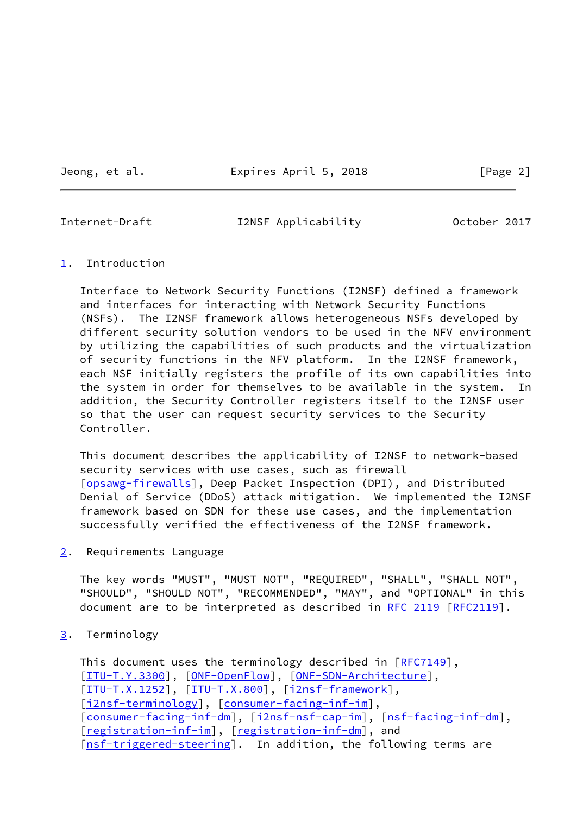Jeong, et al. Expires April 5, 2018 [Page 2]

<span id="page-2-1"></span>

Internet-Draft I2NSF Applicability October 2017

### <span id="page-2-0"></span>[1](#page-2-0). Introduction

 Interface to Network Security Functions (I2NSF) defined a framework and interfaces for interacting with Network Security Functions (NSFs). The I2NSF framework allows heterogeneous NSFs developed by different security solution vendors to be used in the NFV environment by utilizing the capabilities of such products and the virtualization of security functions in the NFV platform. In the I2NSF framework, each NSF initially registers the profile of its own capabilities into the system in order for themselves to be available in the system. In addition, the Security Controller registers itself to the I2NSF user so that the user can request security services to the Security Controller.

 This document describes the applicability of I2NSF to network-based security services with use cases, such as firewall [\[opsawg-firewalls](#page-15-0)], Deep Packet Inspection (DPI), and Distributed Denial of Service (DDoS) attack mitigation. We implemented the I2NSF framework based on SDN for these use cases, and the implementation successfully verified the effectiveness of the I2NSF framework.

<span id="page-2-2"></span>[2](#page-2-2). Requirements Language

 The key words "MUST", "MUST NOT", "REQUIRED", "SHALL", "SHALL NOT", "SHOULD", "SHOULD NOT", "RECOMMENDED", "MAY", and "OPTIONAL" in this document are to be interpreted as described in [RFC 2119 \[RFC2119](https://datatracker.ietf.org/doc/pdf/rfc2119)].

<span id="page-2-3"></span>[3](#page-2-3). Terminology

This document uses the terminology described in [\[RFC7149](https://datatracker.ietf.org/doc/pdf/rfc7149)], [\[ITU-T.Y.3300](#page-14-0)], [\[ONF-OpenFlow](#page-14-1)], [\[ONF-SDN-Architecture](#page-14-2)], [\[ITU-T.X.1252](#page-14-3)], [\[ITU-T.X.800](#page-14-4)], [\[i2nsf-framework](#page-12-4)], [\[i2nsf-terminology](#page-15-1)], [\[consumer-facing-inf-im](#page-13-1)], [\[consumer-facing-inf-dm](#page-13-2)], [[i2nsf-nsf-cap-im\]](#page-13-3), [[nsf-facing-inf-dm\]](#page-13-4), [\[registration-inf-im](#page-13-5)], [\[registration-inf-dm](#page-13-6)], and [\[nsf-triggered-steering](#page-14-5)]. In addition, the following terms are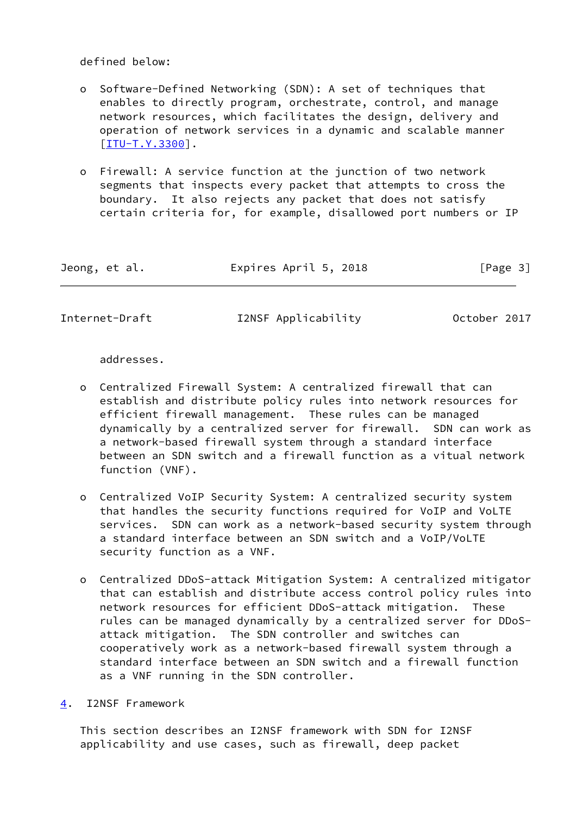defined below:

- o Software-Defined Networking (SDN): A set of techniques that enables to directly program, orchestrate, control, and manage network resources, which facilitates the design, delivery and operation of network services in a dynamic and scalable manner [[ITU-T.Y.3300\]](#page-14-0).
- o Firewall: A service function at the junction of two network segments that inspects every packet that attempts to cross the boundary. It also rejects any packet that does not satisfy certain criteria for, for example, disallowed port numbers or IP

| Jeong, et al. |  | Expires April 5, 2018 | [Page 3] |
|---------------|--|-----------------------|----------|
|---------------|--|-----------------------|----------|

<span id="page-3-1"></span>Internet-Draft I2NSF Applicability October 2017

addresses.

- o Centralized Firewall System: A centralized firewall that can establish and distribute policy rules into network resources for efficient firewall management. These rules can be managed dynamically by a centralized server for firewall. SDN can work as a network-based firewall system through a standard interface between an SDN switch and a firewall function as a vitual network function (VNF).
- o Centralized VoIP Security System: A centralized security system that handles the security functions required for VoIP and VoLTE services. SDN can work as a network-based security system through a standard interface between an SDN switch and a VoIP/VoLTE security function as a VNF.
- o Centralized DDoS-attack Mitigation System: A centralized mitigator that can establish and distribute access control policy rules into network resources for efficient DDoS-attack mitigation. These rules can be managed dynamically by a centralized server for DDoS attack mitigation. The SDN controller and switches can cooperatively work as a network-based firewall system through a standard interface between an SDN switch and a firewall function as a VNF running in the SDN controller.

<span id="page-3-0"></span>[4](#page-3-0). I2NSF Framework

 This section describes an I2NSF framework with SDN for I2NSF applicability and use cases, such as firewall, deep packet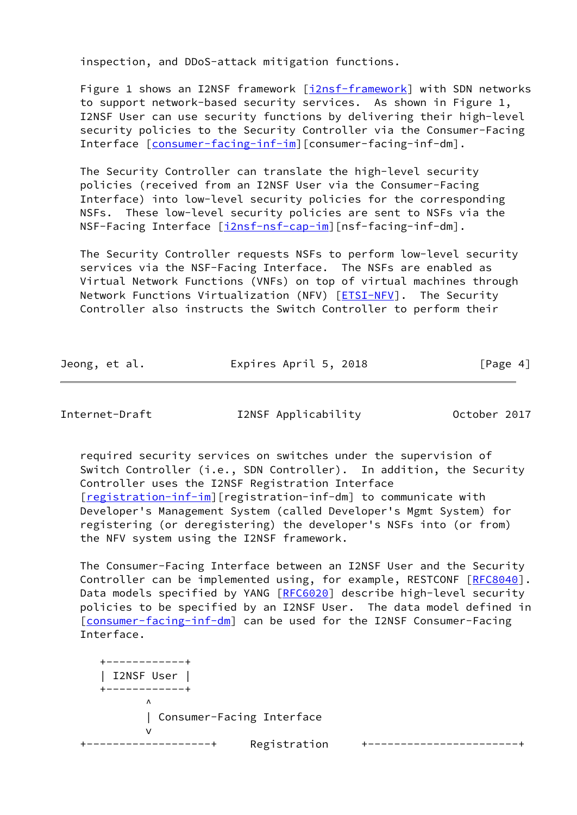inspection, and DDoS-attack mitigation functions.

 Figure 1 shows an I2NSF framework [[i2nsf-framework](#page-12-4)] with SDN networks to support network-based security services. As shown in Figure 1, I2NSF User can use security functions by delivering their high-level security policies to the Security Controller via the Consumer-Facing Interface [[consumer-facing-inf-im](#page-13-1)][consumer-facing-inf-dm].

 The Security Controller can translate the high-level security policies (received from an I2NSF User via the Consumer-Facing Interface) into low-level security policies for the corresponding NSFs. These low-level security policies are sent to NSFs via the NSF-Facing Interface [\[i2nsf-nsf-cap-im](#page-13-3)][nsf-facing-inf-dm].

 The Security Controller requests NSFs to perform low-level security services via the NSF-Facing Interface. The NSFs are enabled as Virtual Network Functions (VNFs) on top of virtual machines through Network Functions Virtualization (NFV) [\[ETSI-NFV](#page-14-6)]. The Security Controller also instructs the Switch Controller to perform their

| Jeong, et al. | Expires April 5, 2018 | [Page 4] |
|---------------|-----------------------|----------|
|               |                       |          |

Internet-Draft I2NSF Applicability October 2017

 required security services on switches under the supervision of Switch Controller (i.e., SDN Controller). In addition, the Security Controller uses the I2NSF Registration Interface [\[registration-inf-im](#page-13-5)][registration-inf-dm] to communicate with Developer's Management System (called Developer's Mgmt System) for registering (or deregistering) the developer's NSFs into (or from) the NFV system using the I2NSF framework.

 The Consumer-Facing Interface between an I2NSF User and the Security Controller can be implemented using, for example, RESTCONF [[RFC8040\]](https://datatracker.ietf.org/doc/pdf/rfc8040). Data models specified by YANG [[RFC6020](https://datatracker.ietf.org/doc/pdf/rfc6020)] describe high-level security policies to be specified by an I2NSF User. The data model defined in [\[consumer-facing-inf-dm](#page-13-2)] can be used for the I2NSF Consumer-Facing Interface.

 +------------+ | I2NSF User | +------------+  $\overline{\phantom{a}}$  | Consumer-Facing Interface version of the state of the state of the state of the state of the state of the state of the state of the state of the state of the state of the state of the state of the state of the state of the state of the state of the +-------------------+ Registration +-----------------------+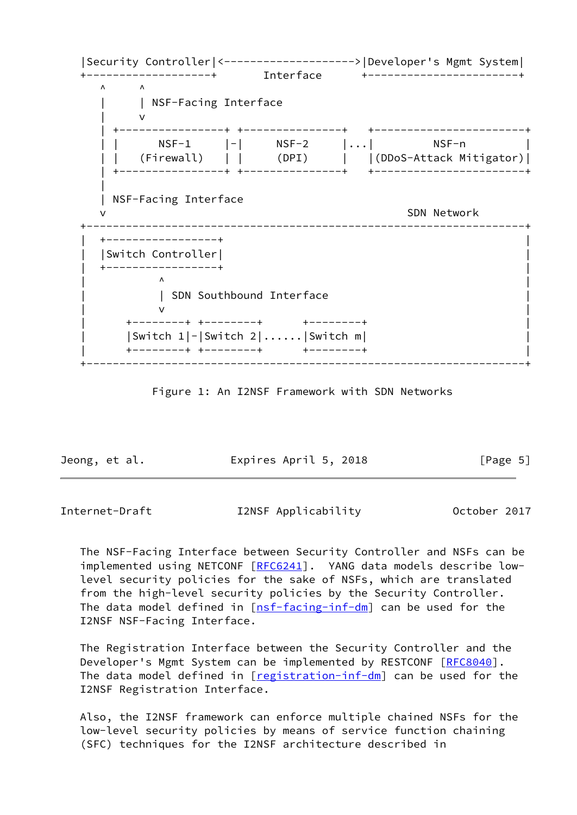|Security Controller|<-------------------->|Developer's Mgmt System| +-------------------+ Interface +-----------------------+  $\wedge$   $\wedge$  | | NSF-Facing Interface | v | +----------------+ +---------------+ +-----------------------+ | | NSF-1 |-| NSF-2 |...| NSF-n | | | (Firewall) | | (DPI) | |(DDoS-Attack Mitigator)| | +----------------+ +---------------+ +-----------------------+ || || || || || || | NSF-Facing Interface SDN Network +-------------------------------------------------------------------+ | +-----------------+ | | |Switch Controller| | | +-----------------+ |  $\wedge$   $\wedge$   $\wedge$   $\wedge$   $\wedge$   $\wedge$   $\wedge$   $\wedge$   $\wedge$   $\wedge$   $\wedge$   $\wedge$   $\wedge$   $\wedge$   $\wedge$   $\wedge$   $\wedge$   $\wedge$   $\wedge$   $\wedge$   $\wedge$   $\wedge$   $\wedge$   $\wedge$   $\wedge$   $\wedge$   $\wedge$   $\wedge$   $\wedge$   $\wedge$   $\wedge$   $\wedge$   $\wedge$   $\wedge$   $\wedge$   $\wedge$   $\wedge$ | SDN Southbound Interface  $\mathsf{v}$   $\mathsf{v}$   $\mathsf{v}$   $\mathsf{v}$   $\mathsf{v}$   $\mathsf{v}$   $\mathsf{v}$   $\mathsf{v}$   $\mathsf{v}$   $\mathsf{v}$   $\mathsf{v}$   $\mathsf{v}$   $\mathsf{v}$   $\mathsf{v}$   $\mathsf{v}$   $\mathsf{v}$   $\mathsf{v}$   $\mathsf{v}$   $\mathsf{v}$   $\mathsf{v}$   $\mathsf{v}$   $\mathsf{v}$   $\mathsf{v}$   $\mathsf{v}$   $\mathsf{$  | +--------+ +--------+ +--------+ | | |Switch 1|-|Switch 2|......|Switch m| | | +--------+ +--------+ +--------+ | +-------------------------------------------------------------------+

Figure 1: An I2NSF Framework with SDN Networks

Jeong, et al. **Expires April 5, 2018** [Page 5]

<span id="page-5-0"></span>Internet-Draft I2NSF Applicability October 2017

 The NSF-Facing Interface between Security Controller and NSFs can be implemented using NETCONF [[RFC6241](https://datatracker.ietf.org/doc/pdf/rfc6241)]. YANG data models describe low level security policies for the sake of NSFs, which are translated from the high-level security policies by the Security Controller. The data model defined in  $[nsf-facing-inf-dm]$  $[nsf-facing-inf-dm]$  can be used for the I2NSF NSF-Facing Interface.

 The Registration Interface between the Security Controller and the Developer's Mgmt System can be implemented by RESTCONF [\[RFC8040](https://datatracker.ietf.org/doc/pdf/rfc8040)]. The data model defined in [[registration-inf-dm](#page-13-6)] can be used for the I2NSF Registration Interface.

 Also, the I2NSF framework can enforce multiple chained NSFs for the low-level security policies by means of service function chaining (SFC) techniques for the I2NSF architecture described in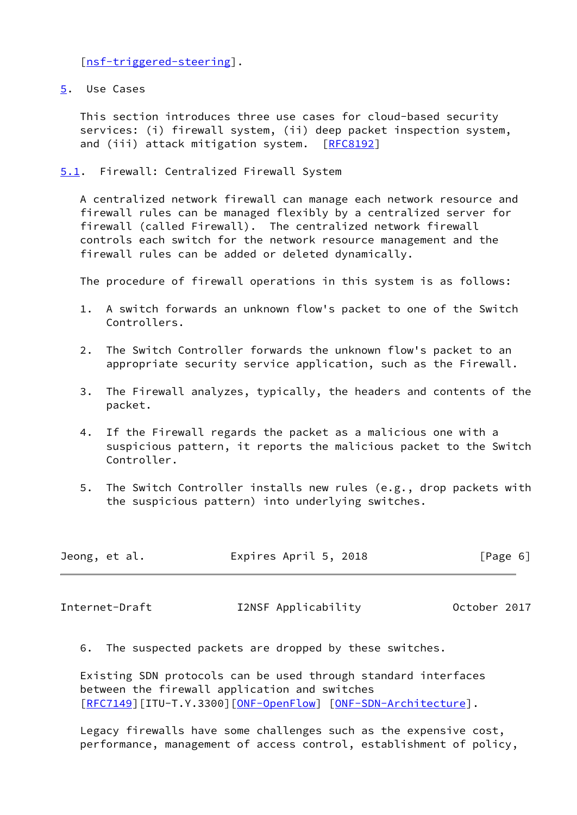[\[nsf-triggered-steering](#page-14-5)].

<span id="page-6-0"></span>[5](#page-6-0). Use Cases

 This section introduces three use cases for cloud-based security services: (i) firewall system, (ii) deep packet inspection system, and (iii) attack mitigation system. [\[RFC8192](https://datatracker.ietf.org/doc/pdf/rfc8192)]

<span id="page-6-1"></span>[5.1](#page-6-1). Firewall: Centralized Firewall System

 A centralized network firewall can manage each network resource and firewall rules can be managed flexibly by a centralized server for firewall (called Firewall). The centralized network firewall controls each switch for the network resource management and the firewall rules can be added or deleted dynamically.

The procedure of firewall operations in this system is as follows:

- 1. A switch forwards an unknown flow's packet to one of the Switch Controllers.
- 2. The Switch Controller forwards the unknown flow's packet to an appropriate security service application, such as the Firewall.
- 3. The Firewall analyzes, typically, the headers and contents of the packet.
- 4. If the Firewall regards the packet as a malicious one with a suspicious pattern, it reports the malicious packet to the Switch Controller.
- 5. The Switch Controller installs new rules (e.g., drop packets with the suspicious pattern) into underlying switches.

| Jeong, et al. | Expires April 5, 2018 | [Page 6] |  |
|---------------|-----------------------|----------|--|
|               |                       |          |  |

<span id="page-6-2"></span>Internet-Draft I2NSF Applicability October 2017

6. The suspected packets are dropped by these switches.

 Existing SDN protocols can be used through standard interfaces between the firewall application and switches [\[RFC7149](https://datatracker.ietf.org/doc/pdf/rfc7149)][ITU-T.Y.3300][\[ONF-OpenFlow](#page-14-1)] [[ONF-SDN-Architecture\]](#page-14-2).

 Legacy firewalls have some challenges such as the expensive cost, performance, management of access control, establishment of policy,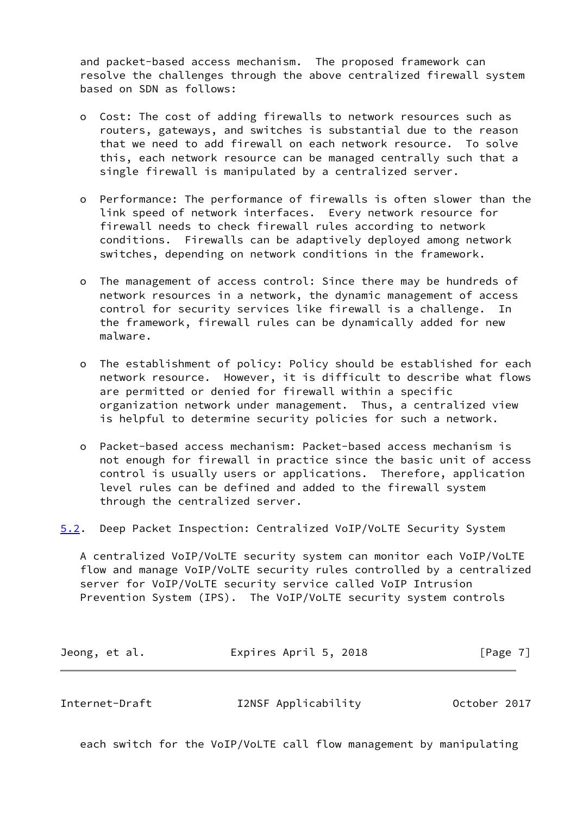and packet-based access mechanism. The proposed framework can resolve the challenges through the above centralized firewall system based on SDN as follows:

- o Cost: The cost of adding firewalls to network resources such as routers, gateways, and switches is substantial due to the reason that we need to add firewall on each network resource. To solve this, each network resource can be managed centrally such that a single firewall is manipulated by a centralized server.
- o Performance: The performance of firewalls is often slower than the link speed of network interfaces. Every network resource for firewall needs to check firewall rules according to network conditions. Firewalls can be adaptively deployed among network switches, depending on network conditions in the framework.
- o The management of access control: Since there may be hundreds of network resources in a network, the dynamic management of access control for security services like firewall is a challenge. In the framework, firewall rules can be dynamically added for new malware.
- o The establishment of policy: Policy should be established for each network resource. However, it is difficult to describe what flows are permitted or denied for firewall within a specific organization network under management. Thus, a centralized view is helpful to determine security policies for such a network.
- o Packet-based access mechanism: Packet-based access mechanism is not enough for firewall in practice since the basic unit of access control is usually users or applications. Therefore, application level rules can be defined and added to the firewall system through the centralized server.
- <span id="page-7-0"></span>[5.2](#page-7-0). Deep Packet Inspection: Centralized VoIP/VoLTE Security System

 A centralized VoIP/VoLTE security system can monitor each VoIP/VoLTE flow and manage VoIP/VoLTE security rules controlled by a centralized server for VoIP/VoLTE security service called VoIP Intrusion Prevention System (IPS). The VoIP/VoLTE security system controls

| Jeong, et al. |  | Expires April 5, 2018 | [Page 7] |
|---------------|--|-----------------------|----------|
|---------------|--|-----------------------|----------|

each switch for the VoIP/VoLTE call flow management by manipulating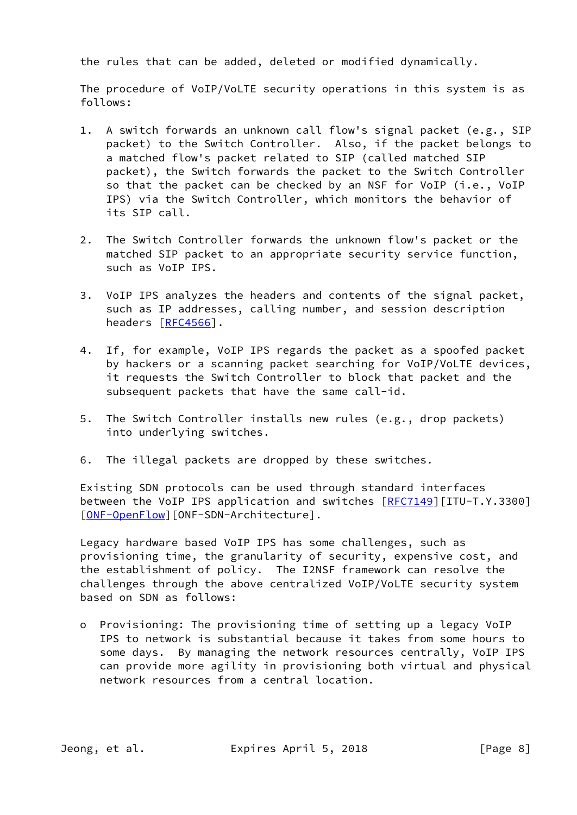the rules that can be added, deleted or modified dynamically.

 The procedure of VoIP/VoLTE security operations in this system is as follows:

- 1. A switch forwards an unknown call flow's signal packet (e.g., SIP packet) to the Switch Controller. Also, if the packet belongs to a matched flow's packet related to SIP (called matched SIP packet), the Switch forwards the packet to the Switch Controller so that the packet can be checked by an NSF for VoIP (i.e., VoIP IPS) via the Switch Controller, which monitors the behavior of its SIP call.
- 2. The Switch Controller forwards the unknown flow's packet or the matched SIP packet to an appropriate security service function, such as VoIP IPS.
- 3. VoIP IPS analyzes the headers and contents of the signal packet, such as IP addresses, calling number, and session description headers [\[RFC4566](https://datatracker.ietf.org/doc/pdf/rfc4566)].
- 4. If, for example, VoIP IPS regards the packet as a spoofed packet by hackers or a scanning packet searching for VoIP/VoLTE devices, it requests the Switch Controller to block that packet and the subsequent packets that have the same call-id.
- 5. The Switch Controller installs new rules (e.g., drop packets) into underlying switches.
- 6. The illegal packets are dropped by these switches.

 Existing SDN protocols can be used through standard interfaces between the VoIP IPS application and switches  $[REC7149][ITU-T.Y.3300]$ [\[ONF-OpenFlow](#page-14-1)][ONF-SDN-Architecture].

 Legacy hardware based VoIP IPS has some challenges, such as provisioning time, the granularity of security, expensive cost, and the establishment of policy. The I2NSF framework can resolve the challenges through the above centralized VoIP/VoLTE security system based on SDN as follows:

 o Provisioning: The provisioning time of setting up a legacy VoIP IPS to network is substantial because it takes from some hours to some days. By managing the network resources centrally, VoIP IPS can provide more agility in provisioning both virtual and physical network resources from a central location.

Jeong, et al. **Expires April 5, 2018** [Page 8]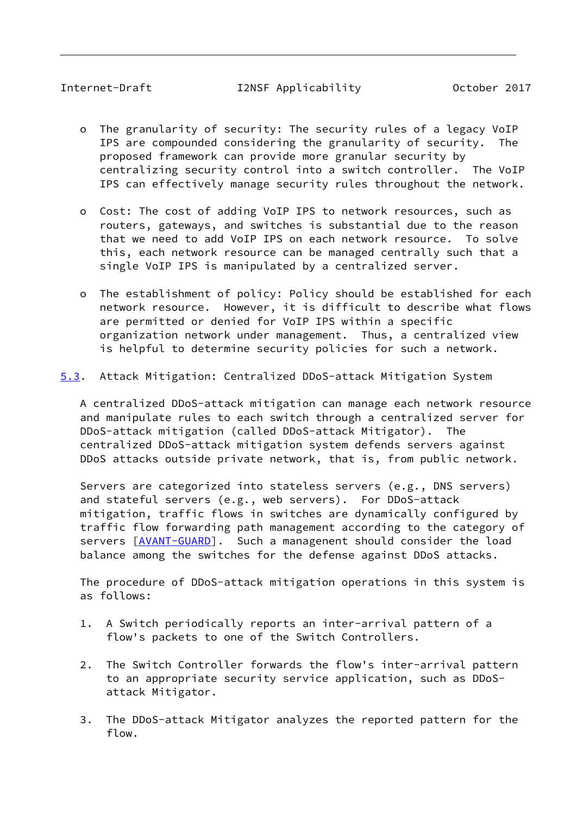<span id="page-9-0"></span>Internet-Draft I2NSF Applicability October 2017

- o The granularity of security: The security rules of a legacy VoIP IPS are compounded considering the granularity of security. The proposed framework can provide more granular security by centralizing security control into a switch controller. The VoIP IPS can effectively manage security rules throughout the network.
- o Cost: The cost of adding VoIP IPS to network resources, such as routers, gateways, and switches is substantial due to the reason that we need to add VoIP IPS on each network resource. To solve this, each network resource can be managed centrally such that a single VoIP IPS is manipulated by a centralized server.
- o The establishment of policy: Policy should be established for each network resource. However, it is difficult to describe what flows are permitted or denied for VoIP IPS within a specific organization network under management. Thus, a centralized view is helpful to determine security policies for such a network.

### <span id="page-9-1"></span>[5.3](#page-9-1). Attack Mitigation: Centralized DDoS-attack Mitigation System

 A centralized DDoS-attack mitigation can manage each network resource and manipulate rules to each switch through a centralized server for DDoS-attack mitigation (called DDoS-attack Mitigator). The centralized DDoS-attack mitigation system defends servers against DDoS attacks outside private network, that is, from public network.

 Servers are categorized into stateless servers (e.g., DNS servers) and stateful servers (e.g., web servers). For DDoS-attack mitigation, traffic flows in switches are dynamically configured by traffic flow forwarding path management according to the category of servers [\[AVANT-GUARD](#page-14-7)]. Such a managenent should consider the load balance among the switches for the defense against DDoS attacks.

 The procedure of DDoS-attack mitigation operations in this system is as follows:

- 1. A Switch periodically reports an inter-arrival pattern of a flow's packets to one of the Switch Controllers.
- 2. The Switch Controller forwards the flow's inter-arrival pattern to an appropriate security service application, such as DDoS attack Mitigator.
- 3. The DDoS-attack Mitigator analyzes the reported pattern for the flow.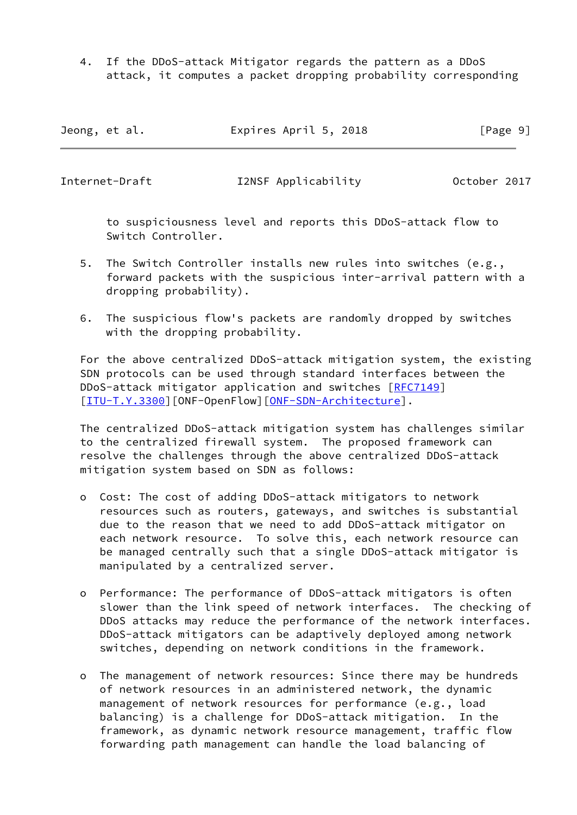4. If the DDoS-attack Mitigator regards the pattern as a DDoS attack, it computes a packet dropping probability corresponding

| Jeong, et al. | Expires April 5, 2018 | [Page 9] |
|---------------|-----------------------|----------|
|---------------|-----------------------|----------|

Internet-Draft I2NSF Applicability October 2017

 to suspiciousness level and reports this DDoS-attack flow to Switch Controller.

- 5. The Switch Controller installs new rules into switches (e.g., forward packets with the suspicious inter-arrival pattern with a dropping probability).
- 6. The suspicious flow's packets are randomly dropped by switches with the dropping probability.

 For the above centralized DDoS-attack mitigation system, the existing SDN protocols can be used through standard interfaces between the DDoS-attack mitigator application and switches [\[RFC7149](https://datatracker.ietf.org/doc/pdf/rfc7149)] [\[ITU-T.Y.3300](#page-14-0)][ONF-OpenFlow][\[ONF-SDN-Architecture](#page-14-2)].

 The centralized DDoS-attack mitigation system has challenges similar to the centralized firewall system. The proposed framework can resolve the challenges through the above centralized DDoS-attack mitigation system based on SDN as follows:

- o Cost: The cost of adding DDoS-attack mitigators to network resources such as routers, gateways, and switches is substantial due to the reason that we need to add DDoS-attack mitigator on each network resource. To solve this, each network resource can be managed centrally such that a single DDoS-attack mitigator is manipulated by a centralized server.
- o Performance: The performance of DDoS-attack mitigators is often slower than the link speed of network interfaces. The checking of DDoS attacks may reduce the performance of the network interfaces. DDoS-attack mitigators can be adaptively deployed among network switches, depending on network conditions in the framework.
- o The management of network resources: Since there may be hundreds of network resources in an administered network, the dynamic management of network resources for performance (e.g., load balancing) is a challenge for DDoS-attack mitigation. In the framework, as dynamic network resource management, traffic flow forwarding path management can handle the load balancing of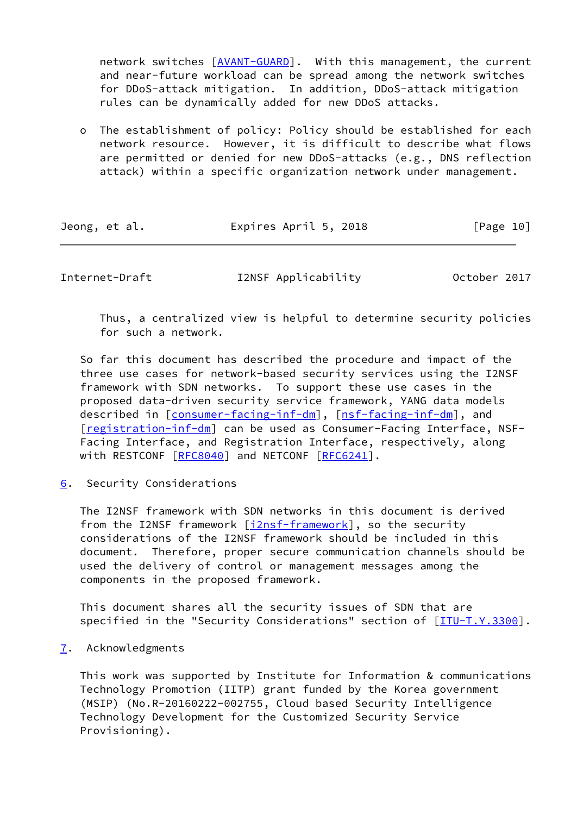network switches [\[AVANT-GUARD](#page-14-7)]. With this management, the current and near-future workload can be spread among the network switches for DDoS-attack mitigation. In addition, DDoS-attack mitigation rules can be dynamically added for new DDoS attacks.

 o The establishment of policy: Policy should be established for each network resource. However, it is difficult to describe what flows are permitted or denied for new DDoS-attacks (e.g., DNS reflection attack) within a specific organization network under management.

| Jeong, et al. | Expires April 5, 2018 | [Page 10] |
|---------------|-----------------------|-----------|
|               |                       |           |

<span id="page-11-1"></span>Internet-Draft I2NSF Applicability October 2017

 Thus, a centralized view is helpful to determine security policies for such a network.

 So far this document has described the procedure and impact of the three use cases for network-based security services using the I2NSF framework with SDN networks. To support these use cases in the proposed data-driven security service framework, YANG data models described in [\[consumer-facing-inf-dm](#page-13-2)], [\[nsf-facing-inf-dm](#page-13-4)], and [\[registration-inf-dm](#page-13-6)] can be used as Consumer-Facing Interface, NSF- Facing Interface, and Registration Interface, respectively, along with RESTCONF [[RFC8040](https://datatracker.ietf.org/doc/pdf/rfc8040)] and NETCONF [\[RFC6241](https://datatracker.ietf.org/doc/pdf/rfc6241)].

<span id="page-11-0"></span>[6](#page-11-0). Security Considerations

 The I2NSF framework with SDN networks in this document is derived from the I2NSF framework [\[i2nsf-framework](#page-12-4)], so the security considerations of the I2NSF framework should be included in this document. Therefore, proper secure communication channels should be used the delivery of control or management messages among the components in the proposed framework.

 This document shares all the security issues of SDN that are specified in the "Security Considerations" section of [[ITU-T.Y.3300\]](#page-14-0).

<span id="page-11-2"></span>[7](#page-11-2). Acknowledgments

 This work was supported by Institute for Information & communications Technology Promotion (IITP) grant funded by the Korea government (MSIP) (No.R-20160222-002755, Cloud based Security Intelligence Technology Development for the Customized Security Service Provisioning).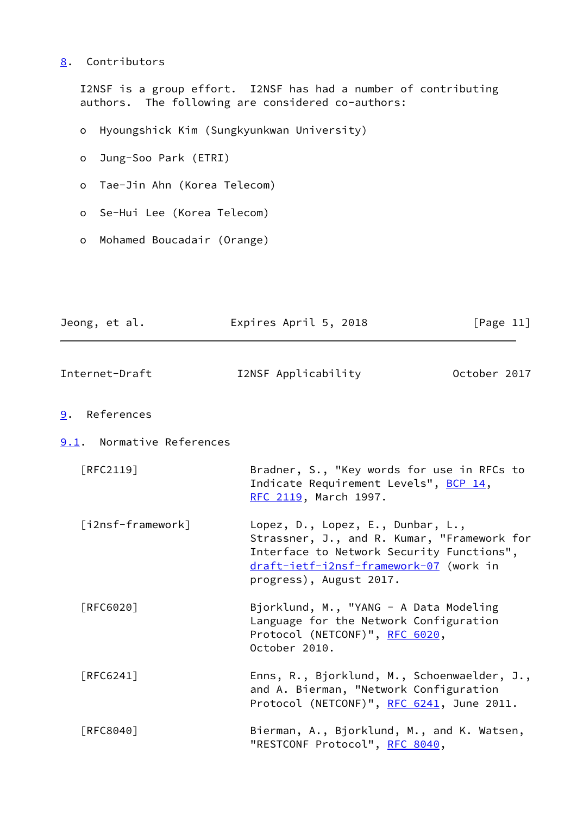### <span id="page-12-0"></span>[8](#page-12-0). Contributors

 I2NSF is a group effort. I2NSF has had a number of contributing authors. The following are considered co-authors:

- o Hyoungshick Kim (Sungkyunkwan University)
- o Jung-Soo Park (ETRI)
- o Tae-Jin Ahn (Korea Telecom)
- o Se-Hui Lee (Korea Telecom)
- o Mohamed Boucadair (Orange)

<span id="page-12-4"></span><span id="page-12-3"></span><span id="page-12-2"></span><span id="page-12-1"></span>

| Jeong, et al.             | Expires April 5, 2018                                                                                                                                                                              | [Page $11$ ] |
|---------------------------|----------------------------------------------------------------------------------------------------------------------------------------------------------------------------------------------------|--------------|
| Internet-Draft            | I2NSF Applicability                                                                                                                                                                                | October 2017 |
| References<br>9.          |                                                                                                                                                                                                    |              |
| 9.1. Normative References |                                                                                                                                                                                                    |              |
| $[RFC2119]$               | Bradner, S., "Key words for use in RFCs to<br>Indicate Requirement Levels", BCP 14,<br>RFC 2119, March 1997.                                                                                       |              |
| [i2nsf-framework]         | Lopez, D., Lopez, E., Dunbar, L.,<br>Strassner, J., and R. Kumar, "Framework for<br>Interface to Network Security Functions",<br>draft-ietf-i2nsf-framework-07 (work in<br>progress), August 2017. |              |
| [RFC6020]                 | Bjorklund, M., "YANG - A Data Modeling<br>Language for the Network Configuration<br>Protocol (NETCONF)", RFC 6020,<br>October 2010.                                                                |              |
| [RFC6241]                 | Enns, R., Bjorklund, M., Schoenwaelder, J.,<br>and A. Bierman, "Network Configuration<br>Protocol (NETCONF)", RFC 6241, June 2011.                                                                 |              |
| [RFC8040]                 | Bierman, A., Bjorklund, M., and K. Watsen,<br>"RESTCONF Protocol", RFC 8040,                                                                                                                       |              |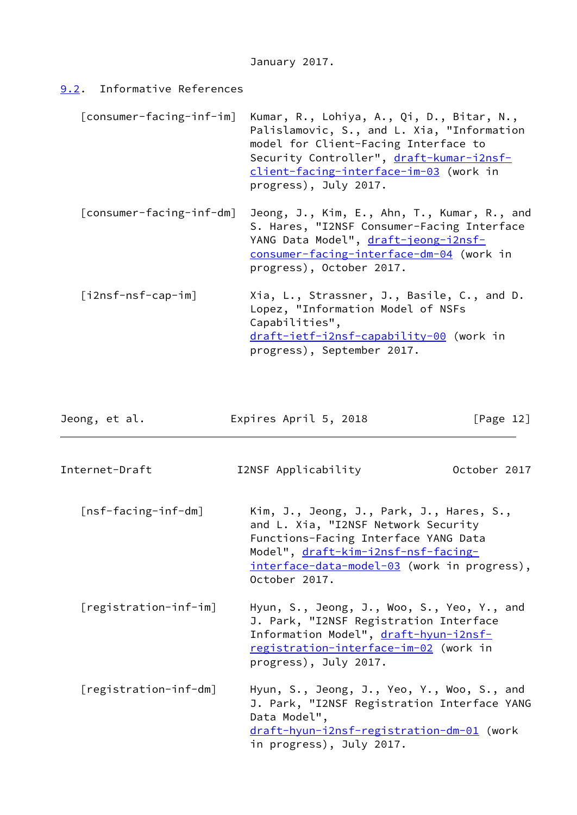# <span id="page-13-0"></span>[9.2](#page-13-0). Informative References

<span id="page-13-6"></span><span id="page-13-5"></span><span id="page-13-4"></span><span id="page-13-3"></span><span id="page-13-2"></span><span id="page-13-1"></span>

| [consumer-facing-inf-im] | Kumar, R., Lohiya, A., Qi, D., Bitar, N.,<br>Palislamovic, S., and L. Xia, "Information<br>model for Client-Facing Interface to<br>Security Controller", draft-kumar-i2nsf-<br>client-facing-interface-im-03 (work in<br>progress), July 2017. |
|--------------------------|------------------------------------------------------------------------------------------------------------------------------------------------------------------------------------------------------------------------------------------------|
| [consumer-facing-inf-dm] | Jeong, J., Kim, E., Ahn, T., Kumar, R., and<br>S. Hares, "I2NSF Consumer-Facing Interface<br>YANG Data Model", draft-jeong-i2nsf-<br>consumer-facing-interface-dm-04 (work in<br>progress), October 2017.                                      |
| $[i2nsf-nsf-cap-im]$     | Xia, L., Strassner, J., Basile, C., and D.<br>Lopez, "Information Model of NSFs<br>Capabilities",<br>draft-ietf-i2nsf-capability-00 (work in<br>progress), September 2017.                                                                     |
| Jeong, et al.            | [Page $12$ ]<br>Expires April 5, 2018                                                                                                                                                                                                          |
| Internet-Draft           | October 2017<br>I2NSF Applicability                                                                                                                                                                                                            |
| [nsf-facing-inf-dm]      | Kim, J., Jeong, J., Park, J., Hares, S.,<br>and L. Xia, "I2NSF Network Security<br>Functions-Facing Interface YANG Data<br>Model", draft-kim-i2nsf-nsf-facing-<br>interface-data-model-03 (work in progress),<br>October 2017.                 |
| [registration-inf-im]    | Hyun, S., Jeong, J., Woo, S., Yeo, Y., and<br>J. Park, "I2NSF Registration Interface<br>Information Model", draft-hyun-i2nsf-<br>registration-interface-im-02 (work in<br>progress), July 2017.                                                |
| [registration-inf-dm]    | Hyun, S., Jeong, J., Yeo, Y., Woo, S., and<br>J. Park, "I2NSF Registration Interface YANG<br>Data Model",<br>draft-hyun-i2nsf-registration-dm-01 (work<br>in progress), July 2017.                                                             |
|                          |                                                                                                                                                                                                                                                |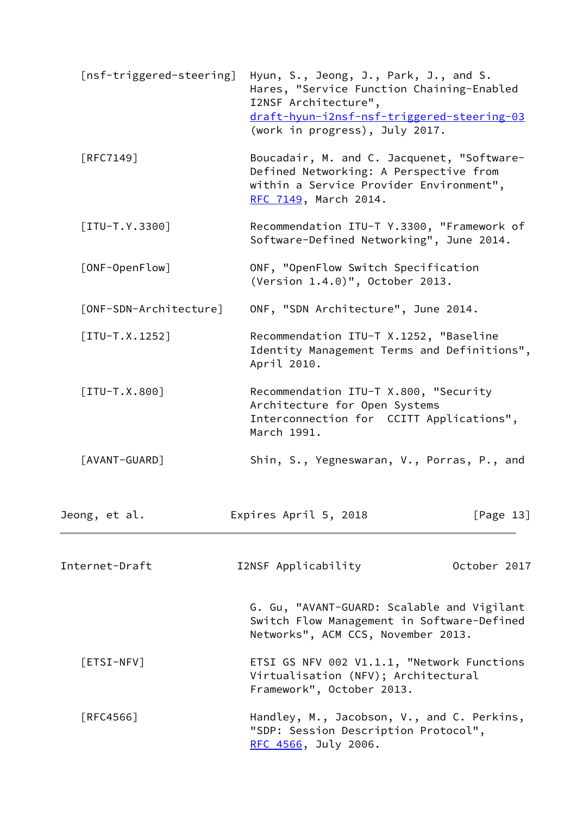<span id="page-14-7"></span><span id="page-14-6"></span><span id="page-14-5"></span><span id="page-14-4"></span><span id="page-14-3"></span><span id="page-14-2"></span><span id="page-14-1"></span><span id="page-14-0"></span>

| [nsf-triggered-steering] | Hyun, S., Jeong, J., Park, J., and S.<br>Hares, "Service Function Chaining-Enabled<br>I2NSF Architecture",<br>draft-hyun-i2nsf-nsf-triggered-steering-03<br>(work in progress), July 2017. |              |
|--------------------------|--------------------------------------------------------------------------------------------------------------------------------------------------------------------------------------------|--------------|
| [RFC7149]                | Boucadair, M. and C. Jacquenet, "Software-<br>Defined Networking: A Perspective from<br>within a Service Provider Environment",<br>RFC 7149, March 2014.                                   |              |
| $[ITU-T.Y.3300]$         | Recommendation ITU-T Y.3300, "Framework of<br>Software-Defined Networking", June 2014.                                                                                                     |              |
| [ONF-OpenFlow]           | ONF, "OpenFlow Switch Specification<br>(Version 1.4.0)", October 2013.                                                                                                                     |              |
| [ONF-SDN-Architecture]   | ONF, "SDN Architecture", June 2014.                                                                                                                                                        |              |
| $[ITU-T.X.1252]$         | Recommendation ITU-T X.1252, "Baseline<br>Identity Management Terms and Definitions",<br>April 2010.                                                                                       |              |
| $[ITU-T.X.800]$          | Recommendation ITU-T X.800, "Security<br>Architecture for Open Systems<br>Interconnection for CCITT Applications",<br>March 1991.                                                          |              |
| [AVANT-GUARD]            | Shin, S., Yegneswaran, V., Porras, P., and                                                                                                                                                 |              |
| Jeong, et al.            | Expires April 5, 2018                                                                                                                                                                      | [Page $13$ ] |
| Internet-Draft           | I2NSF Applicability                                                                                                                                                                        | October 2017 |
|                          | G. Gu, "AVANT-GUARD: Scalable and Vigilant<br>Switch Flow Management in Software-Defined<br>Networks", ACM CCS, November 2013.                                                             |              |
| $[ESTS1-NFV]$            | ETSI GS NFV 002 V1.1.1, "Network Functions<br>Virtualisation (NFV); Architectural<br>Framework", October 2013.                                                                             |              |
| [RFC4566]                | Handley, M., Jacobson, V., and C. Perkins,<br>"SDP: Session Description Protocol",<br>RFC 4566, July 2006.                                                                                 |              |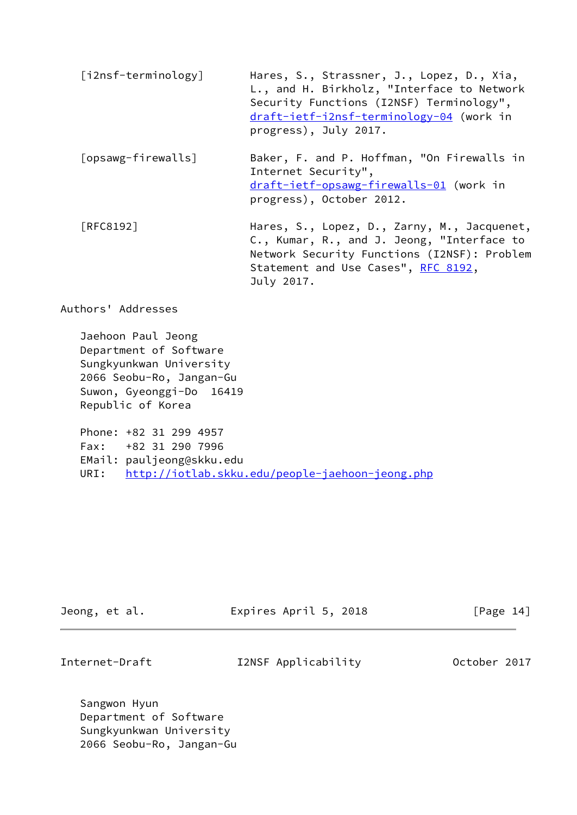<span id="page-15-1"></span><span id="page-15-0"></span>

| [i2nsf-terminology] | Hares, S., Strassner, J., Lopez, D., Xia,<br>L., and H. Birkholz, "Interface to Network<br>Security Functions (I2NSF) Terminology",<br>draft-ietf-i2nsf-terminology-04 (work in<br>progress), July 2017. |
|---------------------|----------------------------------------------------------------------------------------------------------------------------------------------------------------------------------------------------------|
| [opsawg-firewalls]  | Baker, F. and P. Hoffman, "On Firewalls in<br>Internet Security",<br>draft-ietf-opsawg-firewalls-01 (work in<br>progress), October 2012.                                                                 |
| <b>FRFC81921</b>    | Hares, S., Lopez, D., Zarny, M., Jacquenet,<br>C., Kumar, R., and J. Jeong, "Interface to<br>Network Security Functions (I2NSF): Problem<br>Statement and Use Cases", RFC 8192,<br>July 2017.            |

Authors' Addresses

 Jaehoon Paul Jeong Department of Software Sungkyunkwan University 2066 Seobu-Ro, Jangan-Gu Suwon, Gyeonggi-Do 16419 Republic of Korea

 Phone: +82 31 299 4957 Fax: +82 31 290 7996 EMail: pauljeong@skku.edu URI: <http://iotlab.skku.edu/people-jaehoon-jeong.php>

| Jeong, et al. | Expires April 5, 2018 | [Page 14] |
|---------------|-----------------------|-----------|
|               |                       |           |

Internet-Draft I2NSF Applicability October 2017

 Sangwon Hyun Department of Software Sungkyunkwan University 2066 Seobu-Ro, Jangan-Gu